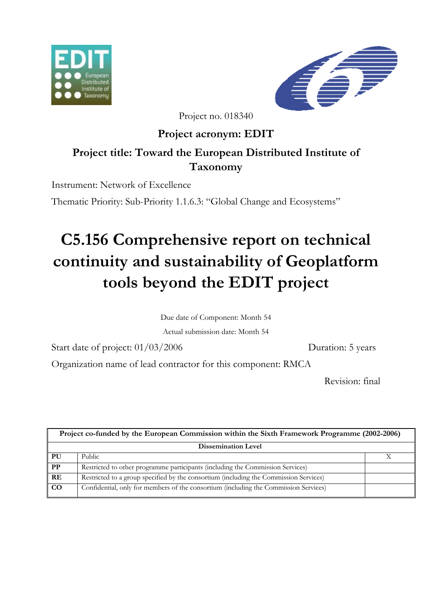



Project no. 018340

**Project acronym: EDIT** 

# **Project title: Toward the European Distributed Institute of Taxonomy**

Instrument: Network of Excellence

Thematic Priority: Sub-Priority 1.1.6.3: "Global Change and Ecosystems"

# **C5.156 Comprehensive report on technical continuity and sustainability of Geoplatform tools beyond the EDIT project**

Due date of Component: Month 54

Actual submission date: Month 54

Start date of project:  $01/03/2006$  Duration: 5 years

Organization name of lead contractor for this component: RMCA

Revision: final

| Project co-funded by the European Commission within the Sixth Framework Programme (2002-2006) |                                                                                       |  |
|-----------------------------------------------------------------------------------------------|---------------------------------------------------------------------------------------|--|
| <b>Dissemination Level</b>                                                                    |                                                                                       |  |
| PU                                                                                            | Public                                                                                |  |
| <b>PP</b>                                                                                     | Restricted to other programme participants (including the Commission Services)        |  |
| RE                                                                                            | Restricted to a group specified by the consortium (including the Commission Services) |  |
| CO                                                                                            | Confidential, only for members of the consortium (including the Commission Services)  |  |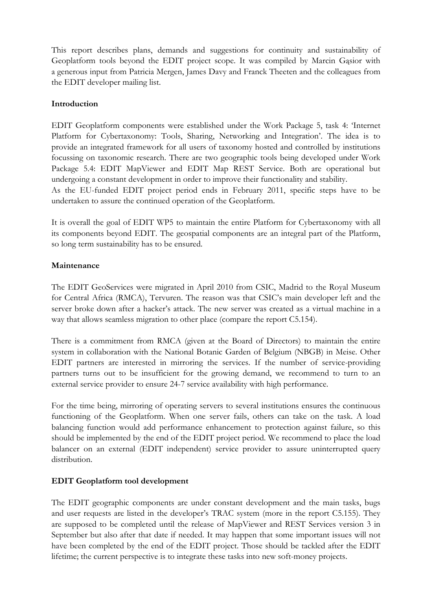This report describes plans, demands and suggestions for continuity and sustainability of Geoplatform tools beyond the EDIT project scope. It was compiled by Marcin Gąsior with a generous input from Patricia Mergen, James Davy and Franck Theeten and the colleagues from the EDIT developer mailing list.

### **Introduction**

EDIT Geoplatform components were established under the Work Package 5, task 4: 'Internet Platform for Cybertaxonomy: Tools, Sharing, Networking and Integration'. The idea is to provide an integrated framework for all users of taxonomy hosted and controlled by institutions focussing on taxonomic research. There are two geographic tools being developed under Work Package 5.4: EDIT MapViewer and EDIT Map REST Service. Both are operational but undergoing a constant development in order to improve their functionality and stability.

As the EU-funded EDIT project period ends in February 2011, specific steps have to be undertaken to assure the continued operation of the Geoplatform.

It is overall the goal of EDIT WP5 to maintain the entire Platform for Cybertaxonomy with all its components beyond EDIT. The geospatial components are an integral part of the Platform, so long term sustainability has to be ensured.

#### **Maintenance**

The EDIT GeoServices were migrated in April 2010 from CSIC, Madrid to the Royal Museum for Central Africa (RMCA), Tervuren. The reason was that CSIC's main developer left and the server broke down after a hacker's attack. The new server was created as a virtual machine in a way that allows seamless migration to other place (compare the report C5.154).

There is a commitment from RMCA (given at the Board of Directors) to maintain the entire system in collaboration with the National Botanic Garden of Belgium (NBGB) in Meise. Other EDIT partners are interested in mirroring the services. If the number of service-providing partners turns out to be insufficient for the growing demand, we recommend to turn to an external service provider to ensure 24-7 service availability with high performance.

For the time being, mirroring of operating servers to several institutions ensures the continuous functioning of the Geoplatform. When one server fails, others can take on the task. A load balancing function would add performance enhancement to protection against failure, so this should be implemented by the end of the EDIT project period. We recommend to place the load balancer on an external (EDIT independent) service provider to assure uninterrupted query distribution.

# **EDIT Geoplatform tool development**

The EDIT geographic components are under constant development and the main tasks, bugs and user requests are listed in the developer's TRAC system (more in the report C5.155). They are supposed to be completed until the release of MapViewer and REST Services version 3 in September but also after that date if needed. It may happen that some important issues will not have been completed by the end of the EDIT project. Those should be tackled after the EDIT lifetime; the current perspective is to integrate these tasks into new soft-money projects.